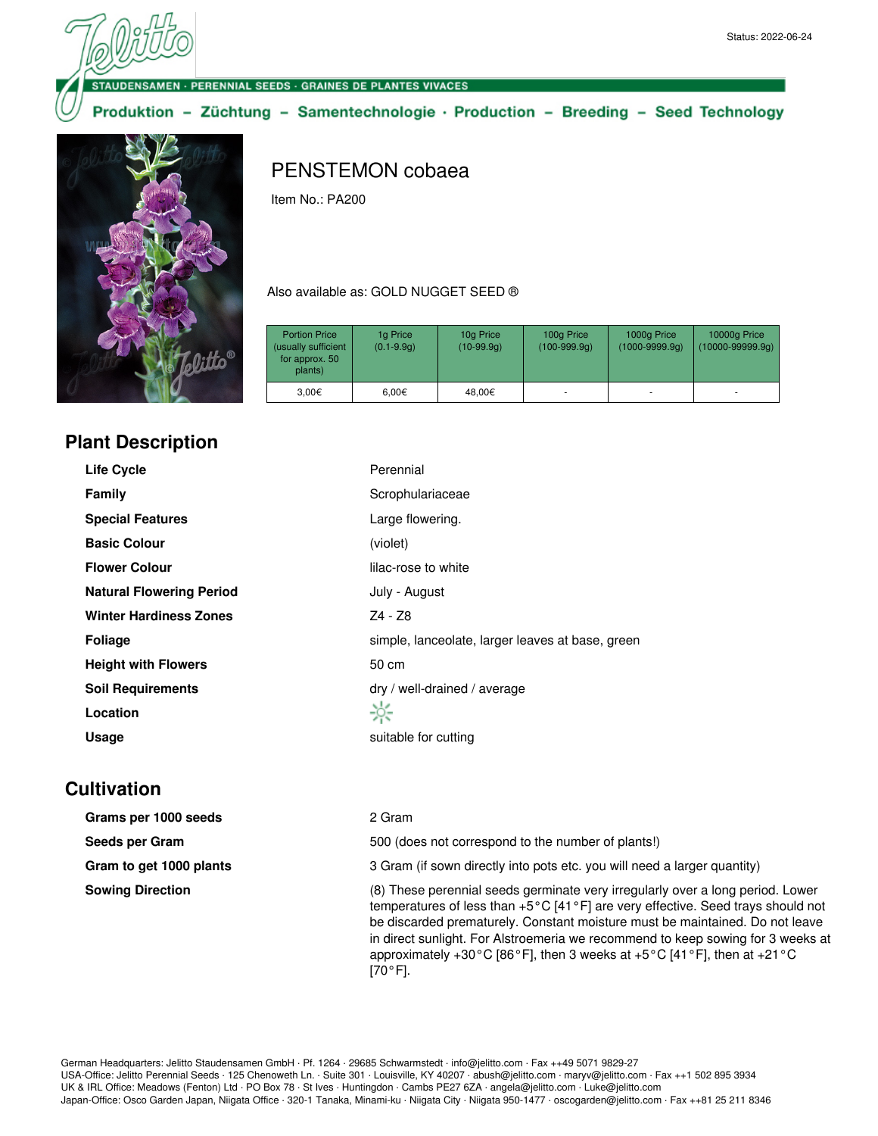SAMEN - PERENNIAL SEEDS - GRAINES DE PLANTES VIVACES

Produktion - Züchtung - Samentechnologie · Production - Breeding - Seed Technology



## PENSTEMON cobaea

Item No.: PA200

Also available as: GOLD NUGGET SEED ®

| <b>Portion Price</b><br>(usually sufficient<br>for approx. 50<br>plants) | 1g Price<br>$(0.1 - 9.9q)$ | 10g Price<br>$(10-99.9q)$ | 100g Price<br>$(100-999.9q)$ | 1000g Price<br>$(1000 - 9999.9q)$ | 10000g Price<br>$(10000 - 99999.9q)$ |
|--------------------------------------------------------------------------|----------------------------|---------------------------|------------------------------|-----------------------------------|--------------------------------------|
| 3,00€                                                                    | $6.00 \in$                 | 48.00€                    | ٠                            | ۰                                 | ۰                                    |

## **Plant Description**

| <b>Life Cycle</b>               | Perennial                                        |
|---------------------------------|--------------------------------------------------|
| <b>Family</b>                   | Scrophulariaceae                                 |
| <b>Special Features</b>         | Large flowering.                                 |
| <b>Basic Colour</b>             | (violet)                                         |
| <b>Flower Colour</b>            | lilac-rose to white                              |
| <b>Natural Flowering Period</b> | July - August                                    |
| <b>Winter Hardiness Zones</b>   | Z4 - Z8                                          |
| <b>Foliage</b>                  | simple, lanceolate, larger leaves at base, green |
| <b>Height with Flowers</b>      | 50 cm                                            |
| <b>Soil Requirements</b>        | dry / well-drained / average                     |
| Location                        | ☆                                                |
| Usage                           | suitable for cutting                             |

## **Cultivation**

| Grams per 1000 seeds    | 2 Gram                                                                                                                                                                                                                                                                                                                                                                                                                                                                                  |
|-------------------------|-----------------------------------------------------------------------------------------------------------------------------------------------------------------------------------------------------------------------------------------------------------------------------------------------------------------------------------------------------------------------------------------------------------------------------------------------------------------------------------------|
| Seeds per Gram          | 500 (does not correspond to the number of plants!)                                                                                                                                                                                                                                                                                                                                                                                                                                      |
| Gram to get 1000 plants | 3 Gram (if sown directly into pots etc. you will need a larger quantity)                                                                                                                                                                                                                                                                                                                                                                                                                |
| <b>Sowing Direction</b> | (8) These perennial seeds germinate very irregularly over a long period. Lower<br>temperatures of less than $+5^{\circ}$ C [41 $\circ$ F] are very effective. Seed trays should not<br>be discarded prematurely. Constant moisture must be maintained. Do not leave<br>in direct sunlight. For Alstroemeria we recommend to keep sowing for 3 weeks at<br>approximately +30 $^{\circ}$ C [86 $^{\circ}$ F], then 3 weeks at +5 $^{\circ}$ C [41 $^{\circ}$ F], then at +21 $^{\circ}$ C |

 $[70 °F]$ .